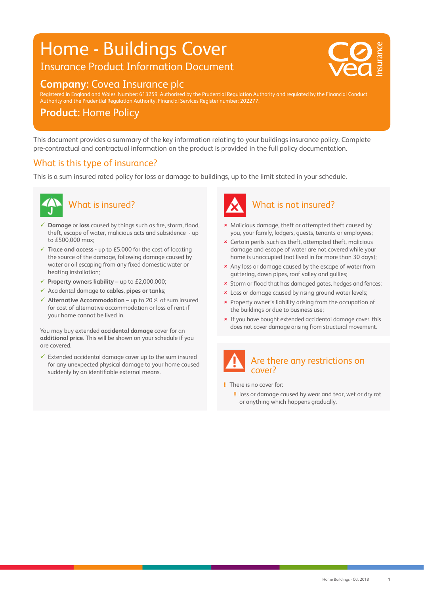# Home - Buildings Cover

## Insurance Product Information Document



20 0 0 75 V : 20 0 75 V : 20 0 75 V

### **Company:** Covea Insurance plc

Registered in England and Wales, Number: 613259. Authorised by the Prudential Regulation Authority and regulated by the Financial Conduct Authority and the Prudential Regulation Authority. Financial Services Register number: 202277.

#### **Product:** Home Policy

This document provides a summary of the key information relating to your buildings insurance policy. Complete pre-contractual and contractual information on the product is provided in the full policy documentation.

#### What is this type of insurance?

This is a sum insured rated policy for loss or damage to buildings, up to the limit stated in your schedule.



#### What is insured?

- **Damage** or **loss** caused by things such as fire, storm, flood, theft, escape of water, malicious acts and subsidence - up to £500,000 max;
- **Trace and access** up to £5,000 for the cost of locating the source of the damage, following damage caused by water or oil escaping from any fixed domestic water or heating installation;
- **Property owners liability** up to  $£2,000,000;$
- Accidental damage to **cables**, **pipes or tanks**;
- **Alternative Accommodation** up to 20% of sum insured for cost of alternative accommodation or loss of rent if your home cannot be lived in.

You may buy extended **accidental damage** cover for an **additional price**. This will be shown on your schedule if you are covered.

 $\checkmark$  Extended accidental damage cover up to the sum insured for any unexpected physical damage to your home caused suddenly by an identifiable external means.



- Malicious damage, theft or attempted theft caused by you, your family, lodgers, guests, tenants or employees;
- Certain perils, such as theft, attempted theft, malicious damage and escape of water are not covered while your home is unoccupied (not lived in for more than 30 days);
- \* Any loss or damage caused by the escape of water from guttering, down pipes, roof valley and gullies;
- \* Storm or flood that has damaged gates, hedges and fences;
- **x** Loss or damage caused by rising ground water levels;
- \* Property owner's liability arising from the occupation of the buildings or due to business use;
- If you have bought extended accidental damage cover, this does not cover damage arising from structural movement.



#### !! There is no cover for:

!! loss or damage caused by wear and tear, wet or dry rot or anything which happens gradually.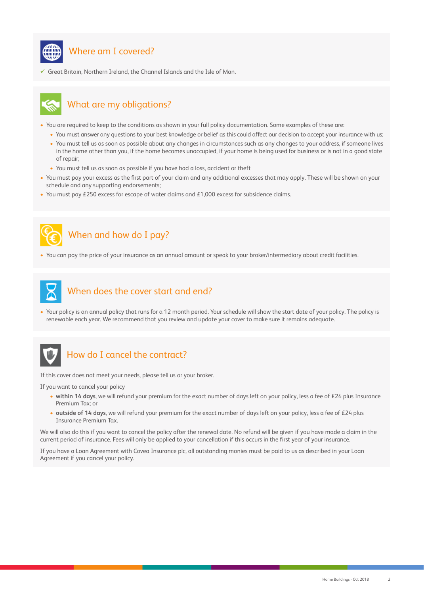

#### Where am I covered?

Great Britain, Northern Ireland, the Channel Islands and the Isle of Man.



#### What are my obligations?

- You are required to keep to the conditions as shown in your full policy documentation. Some examples of these are:
	- You must answer any questions to your best knowledge or belief as this could affect our decision to accept your insurance with us;
	- You must tell us as soon as possible about any changes in circumstances such as any changes to your address, if someone lives in the home other than you, if the home becomes unoccupied, if your home is being used for business or is not in a good state of repair;
	- You must tell us as soon as possible if you have had a loss, accident or theft
- You must pay your excess as the first part of your claim and any additional excesses that may apply. These will be shown on your schedule and any supporting endorsements;
- You must pay £250 excess for escape of water claims and £1,000 excess for subsidence claims.



### When and how do I pay?

• You can pay the price of your insurance as an annual amount or speak to your broker/intermediary about credit facilities.



#### When does the cover start and end?

• Your policy is an annual policy that runs for a 12 month period. Your schedule will show the start date of your policy. The policy is renewable each year. We recommend that you review and update your cover to make sure it remains adequate.



#### How do I cancel the contract?

If this cover does not meet your needs, please tell us or your broker.

If you want to cancel your policy

- **within 14 days**, we will refund your premium for the exact number of days left on your policy, less a fee of £24 plus Insurance Premium Tax; or
- **outside of 14 days**, we will refund your premium for the exact number of days left on your policy, less a fee of £24 plus Insurance Premium Tax.

We will also do this if you want to cancel the policy after the renewal date. No refund will be given if you have made a claim in the current period of insurance. Fees will only be applied to your cancellation if this occurs in the first year of your insurance.

If you have a Loan Agreement with Covea Insurance plc, all outstanding monies must be paid to us as described in your Loan Agreement if you cancel your policy.